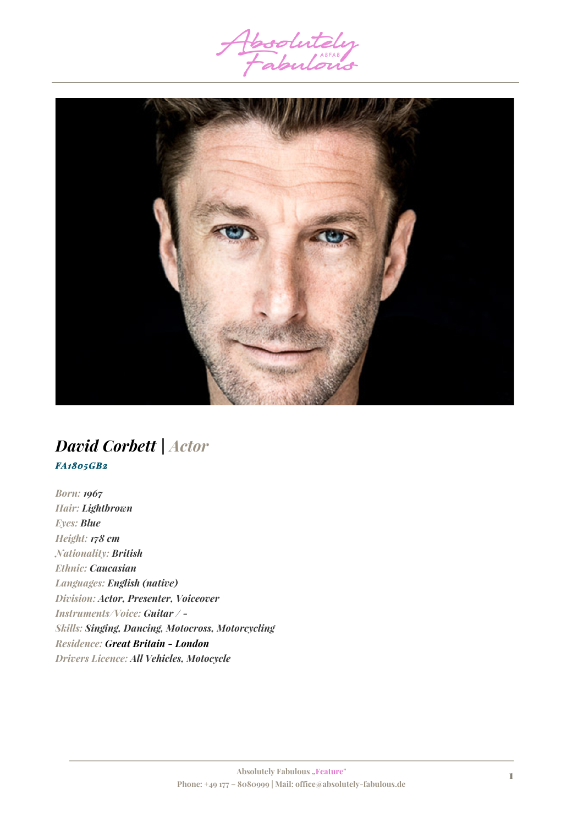



## *David Corbett | Actor FA1805GB2*

*Born: 1967 Hair: Lightbrown Eyes: Blue Height: 178 cm Nationality: British Ethnic: Caucasian Languages: English (native) Division: Actor, Presenter, Voiceover Instruments/Voice: Guitar / - Skills: Singing, Dancing, Motocross, Motorcycling Residence: Great Britain - London Drivers Licence: All Vehicles, Motocycle*